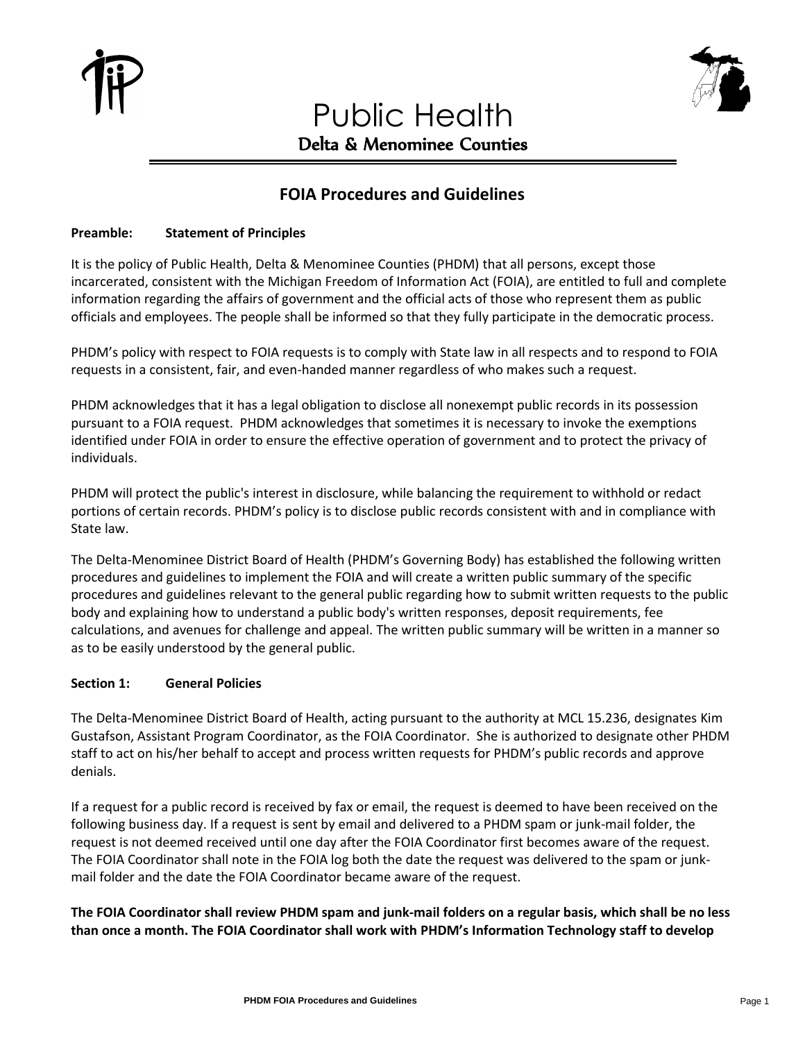

# Public Health Delta & Menominee Counties



## **FOIA Procedures and Guidelines**

## **Preamble: Statement of Principles**

It is the policy of Public Health, Delta & Menominee Counties (PHDM) that all persons, except those incarcerated, consistent with the Michigan Freedom of Information Act (FOIA), are entitled to full and complete information regarding the affairs of government and the official acts of those who represent them as public officials and employees. The people shall be informed so that they fully participate in the democratic process.

PHDM's policy with respect to FOIA requests is to comply with State law in all respects and to respond to FOIA requests in a consistent, fair, and even-handed manner regardless of who makes such a request.

PHDM acknowledges that it has a legal obligation to disclose all nonexempt public records in its possession pursuant to a FOIA request. PHDM acknowledges that sometimes it is necessary to invoke the exemptions identified under FOIA in order to ensure the effective operation of government and to protect the privacy of individuals.

PHDM will protect the public's interest in disclosure, while balancing the requirement to withhold or redact portions of certain records. PHDM's policy is to disclose public records consistent with and in compliance with State law.

The Delta-Menominee District Board of Health (PHDM's Governing Body) has established the following written procedures and guidelines to implement the FOIA and will create a written public summary of the specific procedures and guidelines relevant to the general public regarding how to submit written requests to the public body and explaining how to understand a public body's written responses, deposit requirements, fee calculations, and avenues for challenge and appeal. The written public summary will be written in a manner so as to be easily understood by the general public.

## **Section 1: General Policies**

The Delta-Menominee District Board of Health, acting pursuant to the authority at MCL 15.236, designates Kim Gustafson, Assistant Program Coordinator, as the FOIA Coordinator. She is authorized to designate other PHDM staff to act on his/her behalf to accept and process written requests for PHDM's public records and approve denials.

If a request for a public record is received by fax or email, the request is deemed to have been received on the following business day. If a request is sent by email and delivered to a PHDM spam or junk-mail folder, the request is not deemed received until one day after the FOIA Coordinator first becomes aware of the request. The FOIA Coordinator shall note in the FOIA log both the date the request was delivered to the spam or junkmail folder and the date the FOIA Coordinator became aware of the request.

**The FOIA Coordinator shall review PHDM spam and junk-mail folders on a regular basis, which shall be no less than once a month. The FOIA Coordinator shall work with PHDM's Information Technology staff to develop**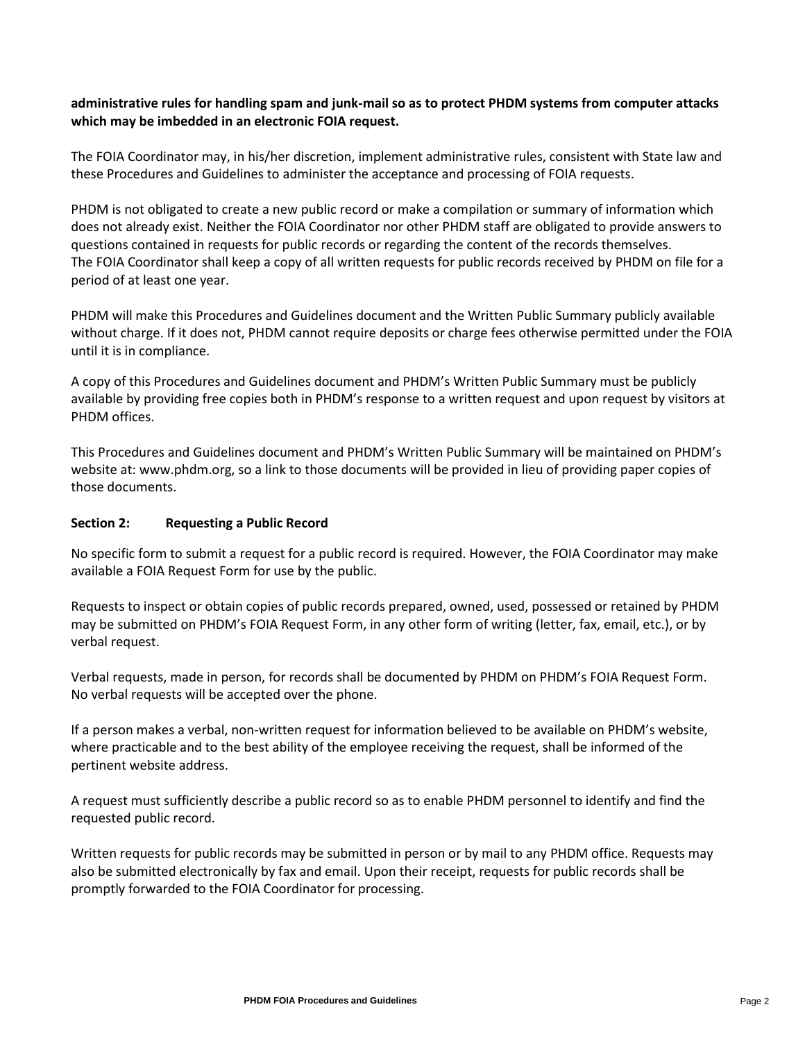## **administrative rules for handling spam and junk-mail so as to protect PHDM systems from computer attacks which may be imbedded in an electronic FOIA request.**

The FOIA Coordinator may, in his/her discretion, implement administrative rules, consistent with State law and these Procedures and Guidelines to administer the acceptance and processing of FOIA requests.

PHDM is not obligated to create a new public record or make a compilation or summary of information which does not already exist. Neither the FOIA Coordinator nor other PHDM staff are obligated to provide answers to questions contained in requests for public records or regarding the content of the records themselves. The FOIA Coordinator shall keep a copy of all written requests for public records received by PHDM on file for a period of at least one year.

PHDM will make this Procedures and Guidelines document and the Written Public Summary publicly available without charge. If it does not, PHDM cannot require deposits or charge fees otherwise permitted under the FOIA until it is in compliance.

A copy of this Procedures and Guidelines document and PHDM's Written Public Summary must be publicly available by providing free copies both in PHDM's response to a written request and upon request by visitors at PHDM offices.

This Procedures and Guidelines document and PHDM's Written Public Summary will be maintained on PHDM's website at: www.phdm.org, so a link to those documents will be provided in lieu of providing paper copies of those documents.

## **Section 2: Requesting a Public Record**

No specific form to submit a request for a public record is required. However, the FOIA Coordinator may make available a FOIA Request Form for use by the public.

Requests to inspect or obtain copies of public records prepared, owned, used, possessed or retained by PHDM may be submitted on PHDM's FOIA Request Form, in any other form of writing (letter, fax, email, etc.), or by verbal request.

Verbal requests, made in person, for records shall be documented by PHDM on PHDM's FOIA Request Form. No verbal requests will be accepted over the phone.

If a person makes a verbal, non-written request for information believed to be available on PHDM's website, where practicable and to the best ability of the employee receiving the request, shall be informed of the pertinent website address.

A request must sufficiently describe a public record so as to enable PHDM personnel to identify and find the requested public record.

Written requests for public records may be submitted in person or by mail to any PHDM office. Requests may also be submitted electronically by fax and email. Upon their receipt, requests for public records shall be promptly forwarded to the FOIA Coordinator for processing.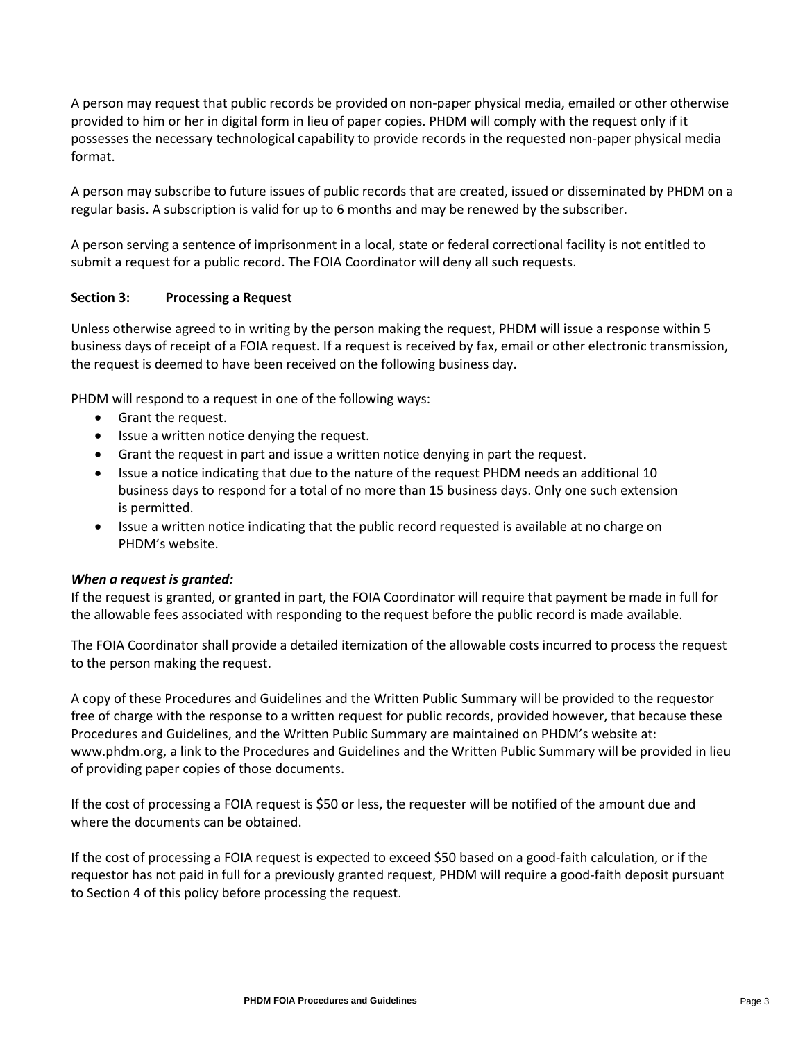A person may request that public records be provided on non-paper physical media, emailed or other otherwise provided to him or her in digital form in lieu of paper copies. PHDM will comply with the request only if it possesses the necessary technological capability to provide records in the requested non-paper physical media format.

A person may subscribe to future issues of public records that are created, issued or disseminated by PHDM on a regular basis. A subscription is valid for up to 6 months and may be renewed by the subscriber.

A person serving a sentence of imprisonment in a local, state or federal correctional facility is not entitled to submit a request for a public record. The FOIA Coordinator will deny all such requests.

## **Section 3: Processing a Request**

Unless otherwise agreed to in writing by the person making the request, PHDM will issue a response within 5 business days of receipt of a FOIA request. If a request is received by fax, email or other electronic transmission, the request is deemed to have been received on the following business day.

PHDM will respond to a request in one of the following ways:

- Grant the request.
- Issue a written notice denying the request.
- Grant the request in part and issue a written notice denying in part the request.
- Issue a notice indicating that due to the nature of the request PHDM needs an additional 10 business days to respond for a total of no more than 15 business days. Only one such extension is permitted.
- Issue a written notice indicating that the public record requested is available at no charge on PHDM's website.

#### *When a request is granted:*

If the request is granted, or granted in part, the FOIA Coordinator will require that payment be made in full for the allowable fees associated with responding to the request before the public record is made available.

The FOIA Coordinator shall provide a detailed itemization of the allowable costs incurred to process the request to the person making the request.

A copy of these Procedures and Guidelines and the Written Public Summary will be provided to the requestor free of charge with the response to a written request for public records, provided however, that because these Procedures and Guidelines, and the Written Public Summary are maintained on PHDM's website at: www.phdm.org, a link to the Procedures and Guidelines and the Written Public Summary will be provided in lieu of providing paper copies of those documents.

If the cost of processing a FOIA request is \$50 or less, the requester will be notified of the amount due and where the documents can be obtained.

If the cost of processing a FOIA request is expected to exceed \$50 based on a good-faith calculation, or if the requestor has not paid in full for a previously granted request, PHDM will require a good-faith deposit pursuant to Section 4 of this policy before processing the request.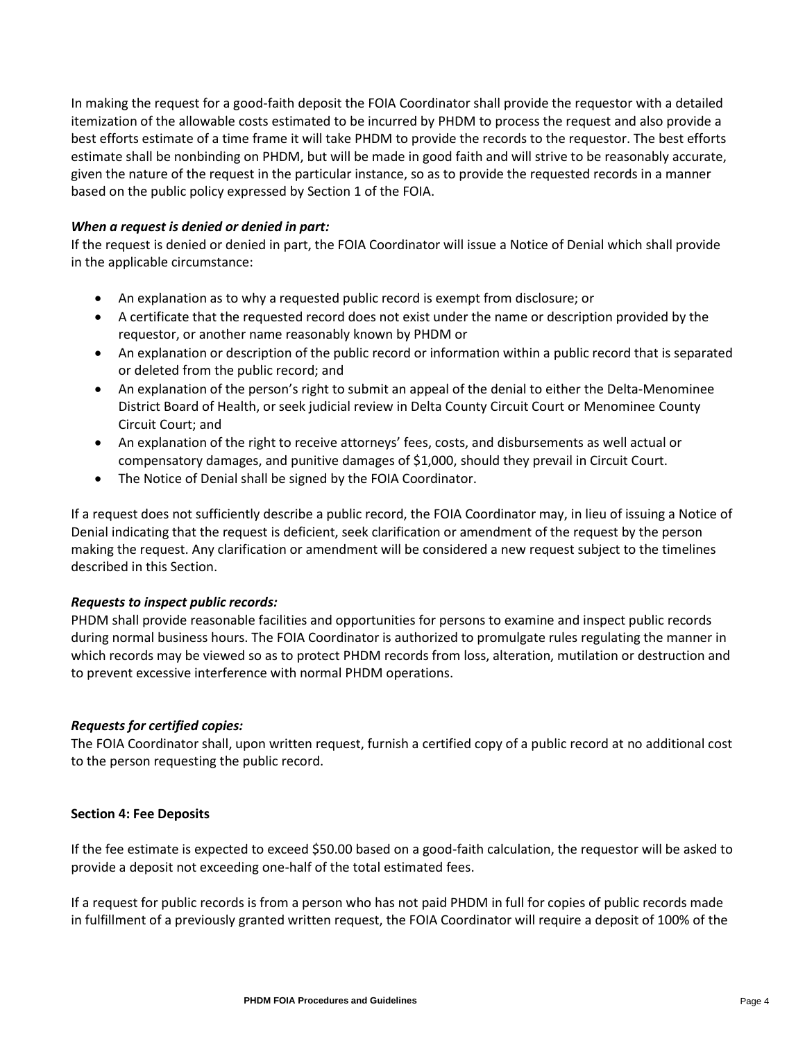In making the request for a good-faith deposit the FOIA Coordinator shall provide the requestor with a detailed itemization of the allowable costs estimated to be incurred by PHDM to process the request and also provide a best efforts estimate of a time frame it will take PHDM to provide the records to the requestor. The best efforts estimate shall be nonbinding on PHDM, but will be made in good faith and will strive to be reasonably accurate, given the nature of the request in the particular instance, so as to provide the requested records in a manner based on the public policy expressed by Section 1 of the FOIA.

## *When a request is denied or denied in part:*

If the request is denied or denied in part, the FOIA Coordinator will issue a Notice of Denial which shall provide in the applicable circumstance:

- An explanation as to why a requested public record is exempt from disclosure; or
- A certificate that the requested record does not exist under the name or description provided by the requestor, or another name reasonably known by PHDM or
- An explanation or description of the public record or information within a public record that is separated or deleted from the public record; and
- An explanation of the person's right to submit an appeal of the denial to either the Delta-Menominee District Board of Health, or seek judicial review in Delta County Circuit Court or Menominee County Circuit Court; and
- An explanation of the right to receive attorneys' fees, costs, and disbursements as well actual or compensatory damages, and punitive damages of \$1,000, should they prevail in Circuit Court.
- The Notice of Denial shall be signed by the FOIA Coordinator.

If a request does not sufficiently describe a public record, the FOIA Coordinator may, in lieu of issuing a Notice of Denial indicating that the request is deficient, seek clarification or amendment of the request by the person making the request. Any clarification or amendment will be considered a new request subject to the timelines described in this Section.

#### *Requests to inspect public records:*

PHDM shall provide reasonable facilities and opportunities for persons to examine and inspect public records during normal business hours. The FOIA Coordinator is authorized to promulgate rules regulating the manner in which records may be viewed so as to protect PHDM records from loss, alteration, mutilation or destruction and to prevent excessive interference with normal PHDM operations.

#### *Requests for certified copies:*

The FOIA Coordinator shall, upon written request, furnish a certified copy of a public record at no additional cost to the person requesting the public record.

#### **Section 4: Fee Deposits**

If the fee estimate is expected to exceed \$50.00 based on a good-faith calculation, the requestor will be asked to provide a deposit not exceeding one-half of the total estimated fees.

If a request for public records is from a person who has not paid PHDM in full for copies of public records made in fulfillment of a previously granted written request, the FOIA Coordinator will require a deposit of 100% of the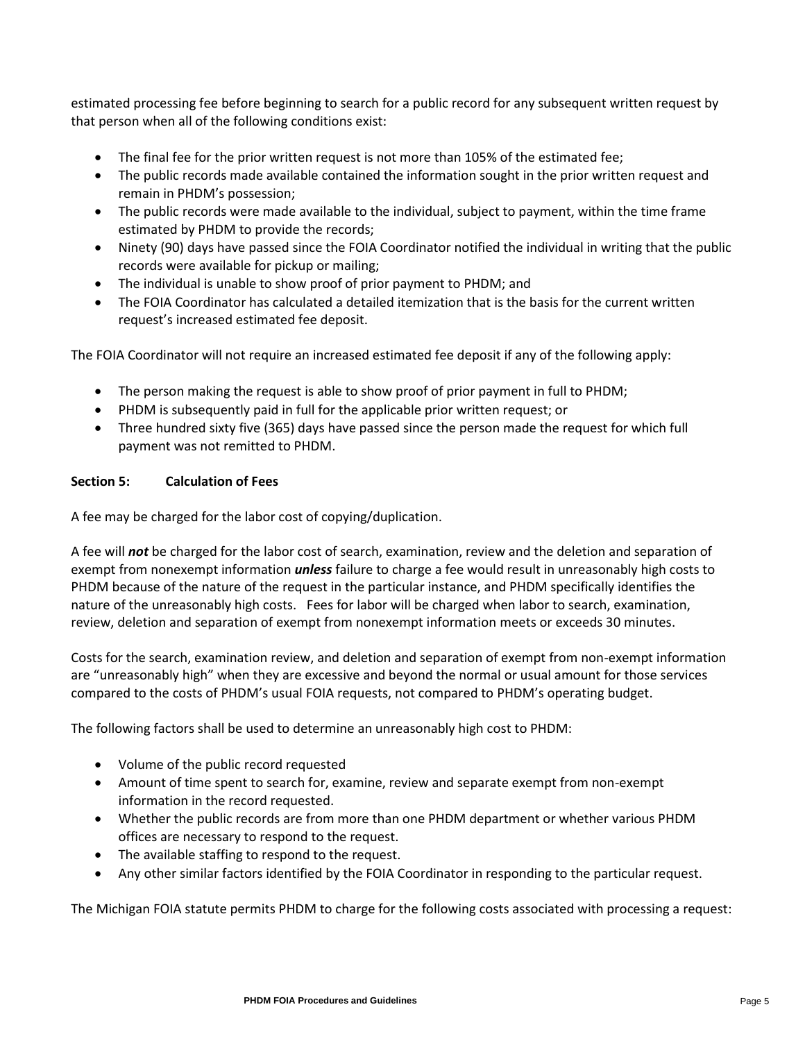estimated processing fee before beginning to search for a public record for any subsequent written request by that person when all of the following conditions exist:

- The final fee for the prior written request is not more than 105% of the estimated fee;
- The public records made available contained the information sought in the prior written request and remain in PHDM's possession;
- The public records were made available to the individual, subject to payment, within the time frame estimated by PHDM to provide the records;
- Ninety (90) days have passed since the FOIA Coordinator notified the individual in writing that the public records were available for pickup or mailing;
- The individual is unable to show proof of prior payment to PHDM; and
- The FOIA Coordinator has calculated a detailed itemization that is the basis for the current written request's increased estimated fee deposit.

The FOIA Coordinator will not require an increased estimated fee deposit if any of the following apply:

- The person making the request is able to show proof of prior payment in full to PHDM;
- PHDM is subsequently paid in full for the applicable prior written request; or
- Three hundred sixty five (365) days have passed since the person made the request for which full payment was not remitted to PHDM.

## **Section 5: Calculation of Fees**

A fee may be charged for the labor cost of copying/duplication.

A fee will *not* be charged for the labor cost of search, examination, review and the deletion and separation of exempt from nonexempt information *unless* failure to charge a fee would result in unreasonably high costs to PHDM because of the nature of the request in the particular instance, and PHDM specifically identifies the nature of the unreasonably high costs. Fees for labor will be charged when labor to search, examination, review, deletion and separation of exempt from nonexempt information meets or exceeds 30 minutes.

Costs for the search, examination review, and deletion and separation of exempt from non-exempt information are "unreasonably high" when they are excessive and beyond the normal or usual amount for those services compared to the costs of PHDM's usual FOIA requests, not compared to PHDM's operating budget.

The following factors shall be used to determine an unreasonably high cost to PHDM:

- Volume of the public record requested
- Amount of time spent to search for, examine, review and separate exempt from non-exempt information in the record requested.
- Whether the public records are from more than one PHDM department or whether various PHDM offices are necessary to respond to the request.
- The available staffing to respond to the request.
- Any other similar factors identified by the FOIA Coordinator in responding to the particular request.

The Michigan FOIA statute permits PHDM to charge for the following costs associated with processing a request: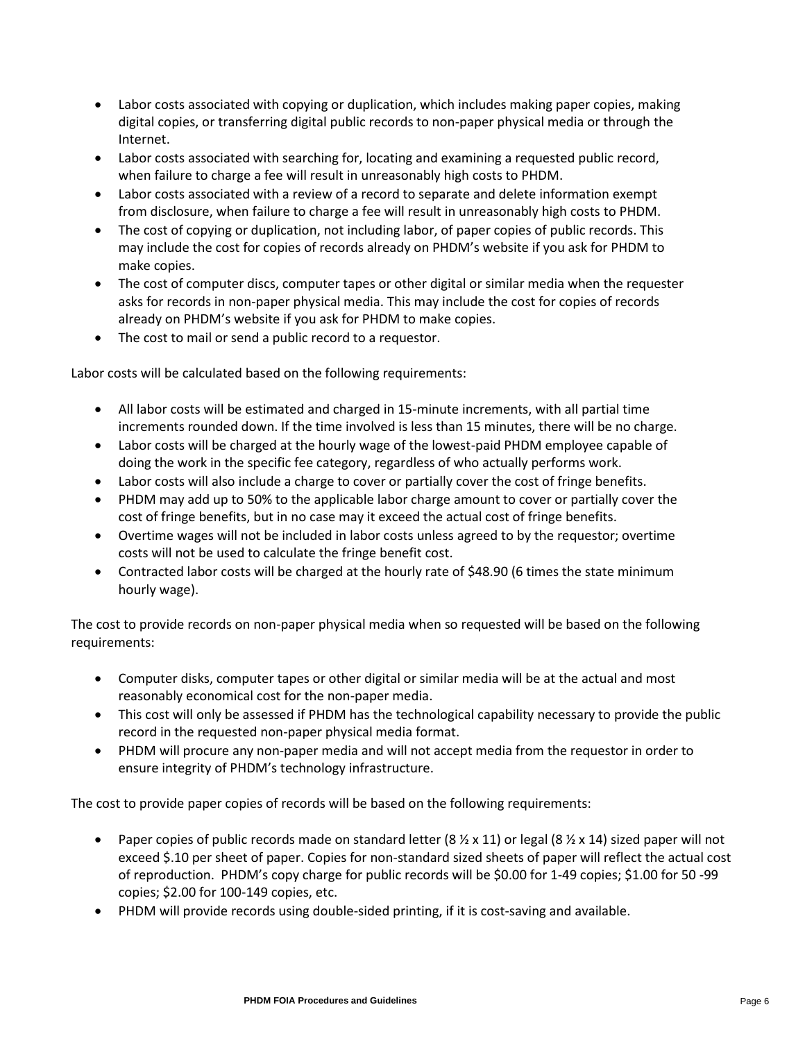- Labor costs associated with copying or duplication, which includes making paper copies, making digital copies, or transferring digital public records to non-paper physical media or through the Internet.
- Labor costs associated with searching for, locating and examining a requested public record, when failure to charge a fee will result in unreasonably high costs to PHDM.
- Labor costs associated with a review of a record to separate and delete information exempt from disclosure, when failure to charge a fee will result in unreasonably high costs to PHDM.
- The cost of copying or duplication, not including labor, of paper copies of public records. This may include the cost for copies of records already on PHDM's website if you ask for PHDM to make copies.
- The cost of computer discs, computer tapes or other digital or similar media when the requester asks for records in non-paper physical media. This may include the cost for copies of records already on PHDM's website if you ask for PHDM to make copies.
- The cost to mail or send a public record to a requestor.

Labor costs will be calculated based on the following requirements:

- All labor costs will be estimated and charged in 15-minute increments, with all partial time increments rounded down. If the time involved is less than 15 minutes, there will be no charge.
- Labor costs will be charged at the hourly wage of the lowest-paid PHDM employee capable of doing the work in the specific fee category, regardless of who actually performs work.
- Labor costs will also include a charge to cover or partially cover the cost of fringe benefits.
- PHDM may add up to 50% to the applicable labor charge amount to cover or partially cover the cost of fringe benefits, but in no case may it exceed the actual cost of fringe benefits.
- Overtime wages will not be included in labor costs unless agreed to by the requestor; overtime costs will not be used to calculate the fringe benefit cost.
- Contracted labor costs will be charged at the hourly rate of \$48.90 (6 times the state minimum hourly wage).

The cost to provide records on non-paper physical media when so requested will be based on the following requirements:

- Computer disks, computer tapes or other digital or similar media will be at the actual and most reasonably economical cost for the non-paper media.
- This cost will only be assessed if PHDM has the technological capability necessary to provide the public record in the requested non-paper physical media format.
- PHDM will procure any non-paper media and will not accept media from the requestor in order to ensure integrity of PHDM's technology infrastructure.

The cost to provide paper copies of records will be based on the following requirements:

- Paper copies of public records made on standard letter ( $8 \frac{1}{2} \times 11$ ) or legal ( $8 \frac{1}{2} \times 14$ ) sized paper will not exceed \$.10 per sheet of paper. Copies for non-standard sized sheets of paper will reflect the actual cost of reproduction. PHDM's copy charge for public records will be \$0.00 for 1-49 copies; \$1.00 for 50 -99 copies; \$2.00 for 100-149 copies, etc.
- PHDM will provide records using double-sided printing, if it is cost-saving and available.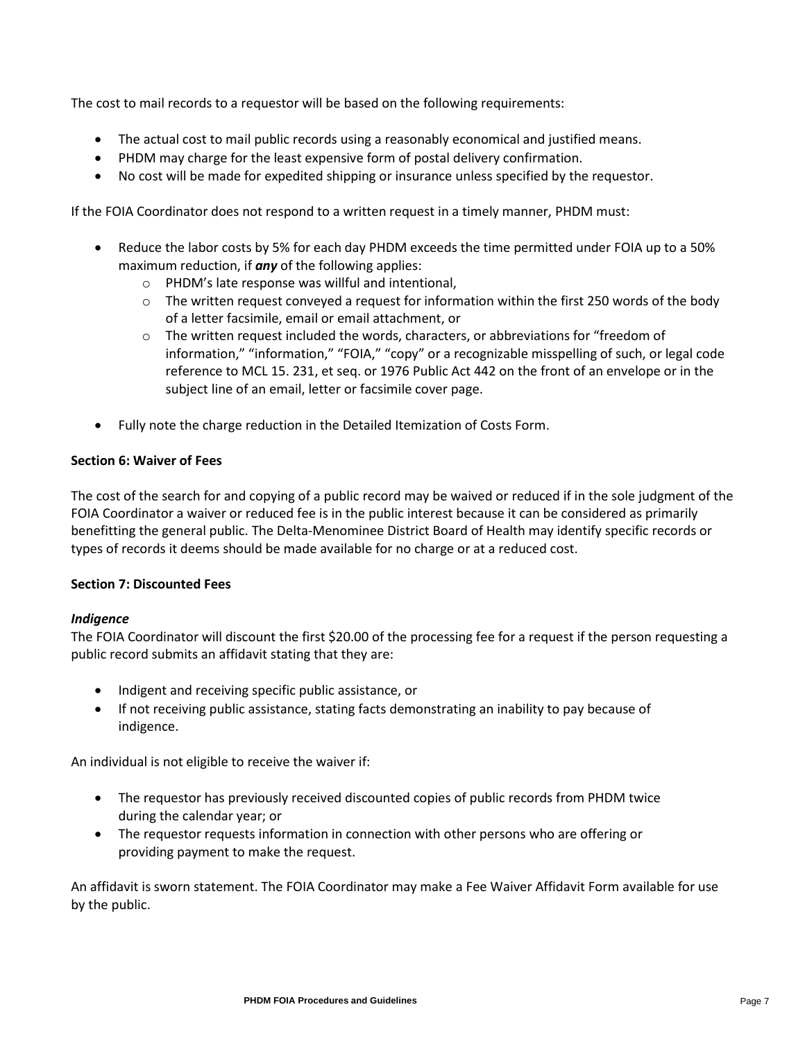The cost to mail records to a requestor will be based on the following requirements:

- The actual cost to mail public records using a reasonably economical and justified means.
- PHDM may charge for the least expensive form of postal delivery confirmation.
- No cost will be made for expedited shipping or insurance unless specified by the requestor.

If the FOIA Coordinator does not respond to a written request in a timely manner, PHDM must:

- Reduce the labor costs by 5% for each day PHDM exceeds the time permitted under FOIA up to a 50% maximum reduction, if *any* of the following applies:
	- o PHDM's late response was willful and intentional,
	- $\circ$  The written request conveyed a request for information within the first 250 words of the body of a letter facsimile, email or email attachment, or
	- $\circ$  The written request included the words, characters, or abbreviations for "freedom of information," "information," "FOIA," "copy" or a recognizable misspelling of such, or legal code reference to MCL 15. 231, et seq. or 1976 Public Act 442 on the front of an envelope or in the subject line of an email, letter or facsimile cover page.
- Fully note the charge reduction in the Detailed Itemization of Costs Form.

## **Section 6: Waiver of Fees**

The cost of the search for and copying of a public record may be waived or reduced if in the sole judgment of the FOIA Coordinator a waiver or reduced fee is in the public interest because it can be considered as primarily benefitting the general public. The Delta-Menominee District Board of Health may identify specific records or types of records it deems should be made available for no charge or at a reduced cost.

## **Section 7: Discounted Fees**

## *Indigence*

The FOIA Coordinator will discount the first \$20.00 of the processing fee for a request if the person requesting a public record submits an affidavit stating that they are:

- Indigent and receiving specific public assistance, or
- If not receiving public assistance, stating facts demonstrating an inability to pay because of indigence.

An individual is not eligible to receive the waiver if:

- The requestor has previously received discounted copies of public records from PHDM twice during the calendar year; or
- The requestor requests information in connection with other persons who are offering or providing payment to make the request.

An affidavit is sworn statement. The FOIA Coordinator may make a Fee Waiver Affidavit Form available for use by the public.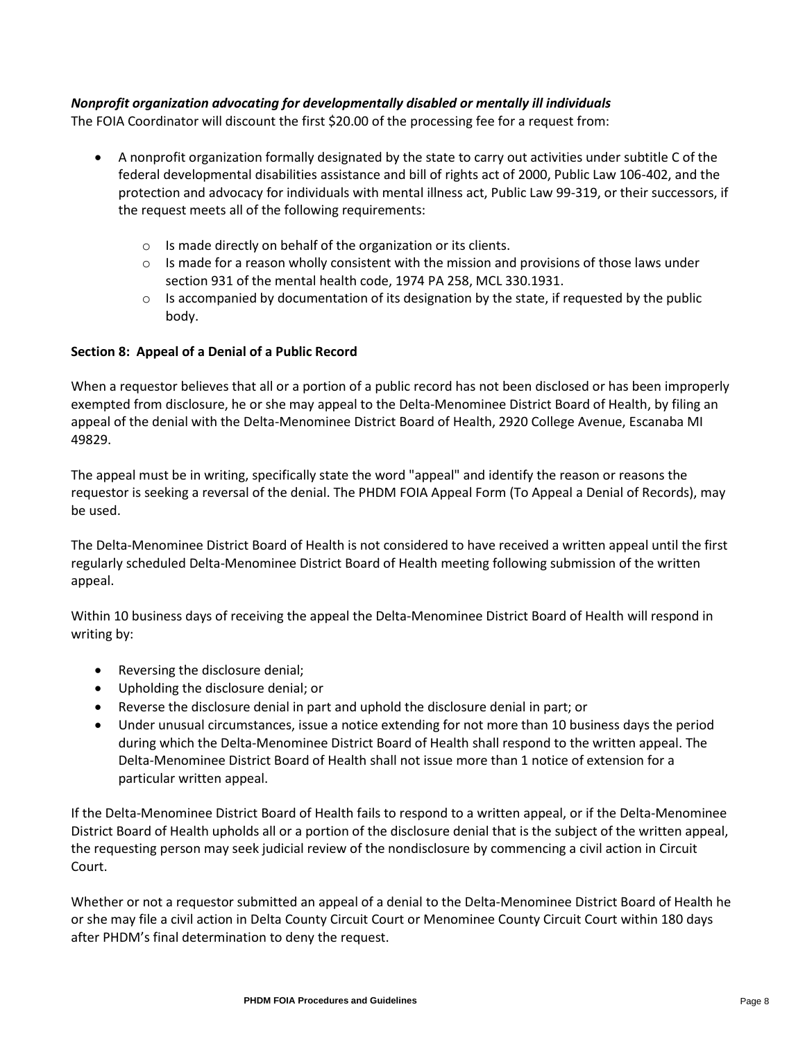## *Nonprofit organization advocating for developmentally disabled or mentally ill individuals*

The FOIA Coordinator will discount the first \$20.00 of the processing fee for a request from:

- A nonprofit organization formally designated by the state to carry out activities under subtitle C of the federal developmental disabilities assistance and bill of rights act of 2000, Public Law 106-402, and the protection and advocacy for individuals with mental illness act, Public Law 99-319, or their successors, if the request meets all of the following requirements:
	- o Is made directly on behalf of the organization or its clients.
	- $\circ$  Is made for a reason wholly consistent with the mission and provisions of those laws under section 931 of the mental health code, 1974 PA 258, MCL 330.1931.
	- $\circ$  Is accompanied by documentation of its designation by the state, if requested by the public body.

## **Section 8: Appeal of a Denial of a Public Record**

When a requestor believes that all or a portion of a public record has not been disclosed or has been improperly exempted from disclosure, he or she may appeal to the Delta-Menominee District Board of Health, by filing an appeal of the denial with the Delta-Menominee District Board of Health, 2920 College Avenue, Escanaba MI 49829.

The appeal must be in writing, specifically state the word "appeal" and identify the reason or reasons the requestor is seeking a reversal of the denial. The PHDM FOIA Appeal Form (To Appeal a Denial of Records), may be used.

The Delta-Menominee District Board of Health is not considered to have received a written appeal until the first regularly scheduled Delta-Menominee District Board of Health meeting following submission of the written appeal.

Within 10 business days of receiving the appeal the Delta-Menominee District Board of Health will respond in writing by:

- Reversing the disclosure denial;
- Upholding the disclosure denial; or
- Reverse the disclosure denial in part and uphold the disclosure denial in part; or
- Under unusual circumstances, issue a notice extending for not more than 10 business days the period during which the Delta-Menominee District Board of Health shall respond to the written appeal. The Delta-Menominee District Board of Health shall not issue more than 1 notice of extension for a particular written appeal.

If the Delta-Menominee District Board of Health fails to respond to a written appeal, or if the Delta-Menominee District Board of Health upholds all or a portion of the disclosure denial that is the subject of the written appeal, the requesting person may seek judicial review of the nondisclosure by commencing a civil action in Circuit Court.

Whether or not a requestor submitted an appeal of a denial to the Delta-Menominee District Board of Health he or she may file a civil action in Delta County Circuit Court or Menominee County Circuit Court within 180 days after PHDM's final determination to deny the request.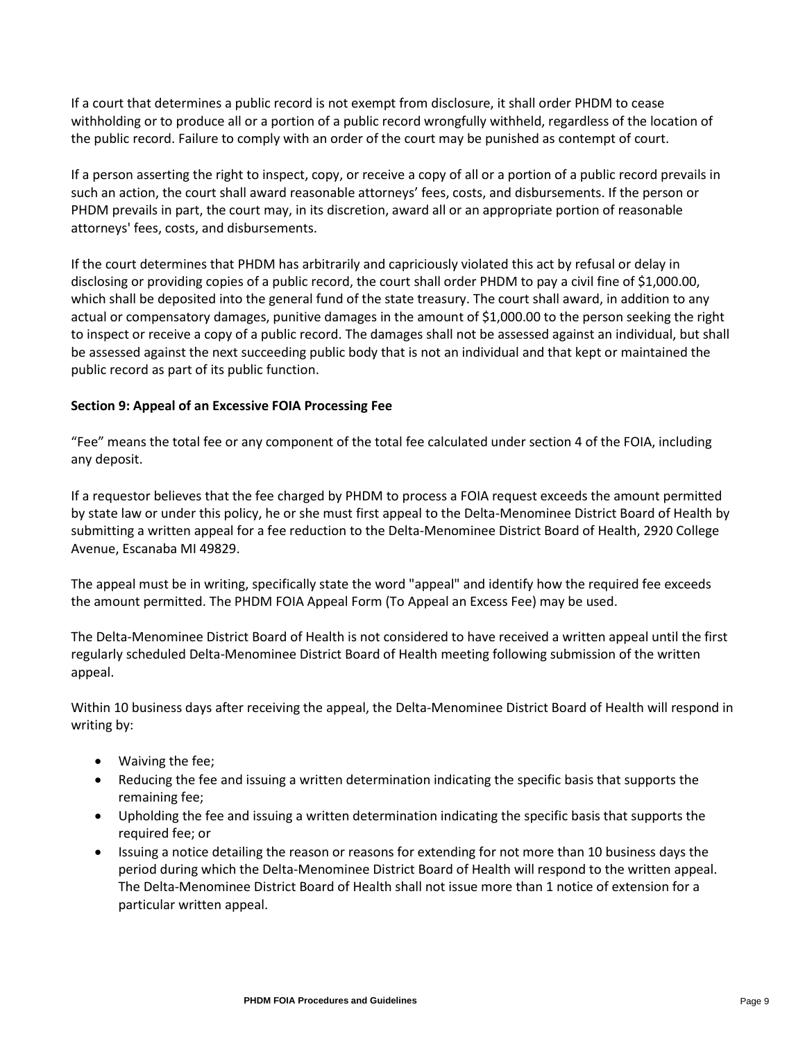If a court that determines a public record is not exempt from disclosure, it shall order PHDM to cease withholding or to produce all or a portion of a public record wrongfully withheld, regardless of the location of the public record. Failure to comply with an order of the court may be punished as contempt of court.

If a person asserting the right to inspect, copy, or receive a copy of all or a portion of a public record prevails in such an action, the court shall award reasonable attorneys' fees, costs, and disbursements. If the person or PHDM prevails in part, the court may, in its discretion, award all or an appropriate portion of reasonable attorneys' fees, costs, and disbursements.

If the court determines that PHDM has arbitrarily and capriciously violated this act by refusal or delay in disclosing or providing copies of a public record, the court shall order PHDM to pay a civil fine of \$1,000.00, which shall be deposited into the general fund of the state treasury. The court shall award, in addition to any actual or compensatory damages, punitive damages in the amount of \$1,000.00 to the person seeking the right to inspect or receive a copy of a public record. The damages shall not be assessed against an individual, but shall be assessed against the next succeeding public body that is not an individual and that kept or maintained the public record as part of its public function.

## **Section 9: Appeal of an Excessive FOIA Processing Fee**

"Fee" means the total fee or any component of the total fee calculated under section 4 of the FOIA, including any deposit.

If a requestor believes that the fee charged by PHDM to process a FOIA request exceeds the amount permitted by state law or under this policy, he or she must first appeal to the Delta-Menominee District Board of Health by submitting a written appeal for a fee reduction to the Delta-Menominee District Board of Health, 2920 College Avenue, Escanaba MI 49829.

The appeal must be in writing, specifically state the word "appeal" and identify how the required fee exceeds the amount permitted. The PHDM FOIA Appeal Form (To Appeal an Excess Fee) may be used.

The Delta-Menominee District Board of Health is not considered to have received a written appeal until the first regularly scheduled Delta-Menominee District Board of Health meeting following submission of the written appeal.

Within 10 business days after receiving the appeal, the Delta-Menominee District Board of Health will respond in writing by:

- Waiving the fee;
- Reducing the fee and issuing a written determination indicating the specific basis that supports the remaining fee;
- Upholding the fee and issuing a written determination indicating the specific basis that supports the required fee; or
- Issuing a notice detailing the reason or reasons for extending for not more than 10 business days the period during which the Delta-Menominee District Board of Health will respond to the written appeal. The Delta-Menominee District Board of Health shall not issue more than 1 notice of extension for a particular written appeal.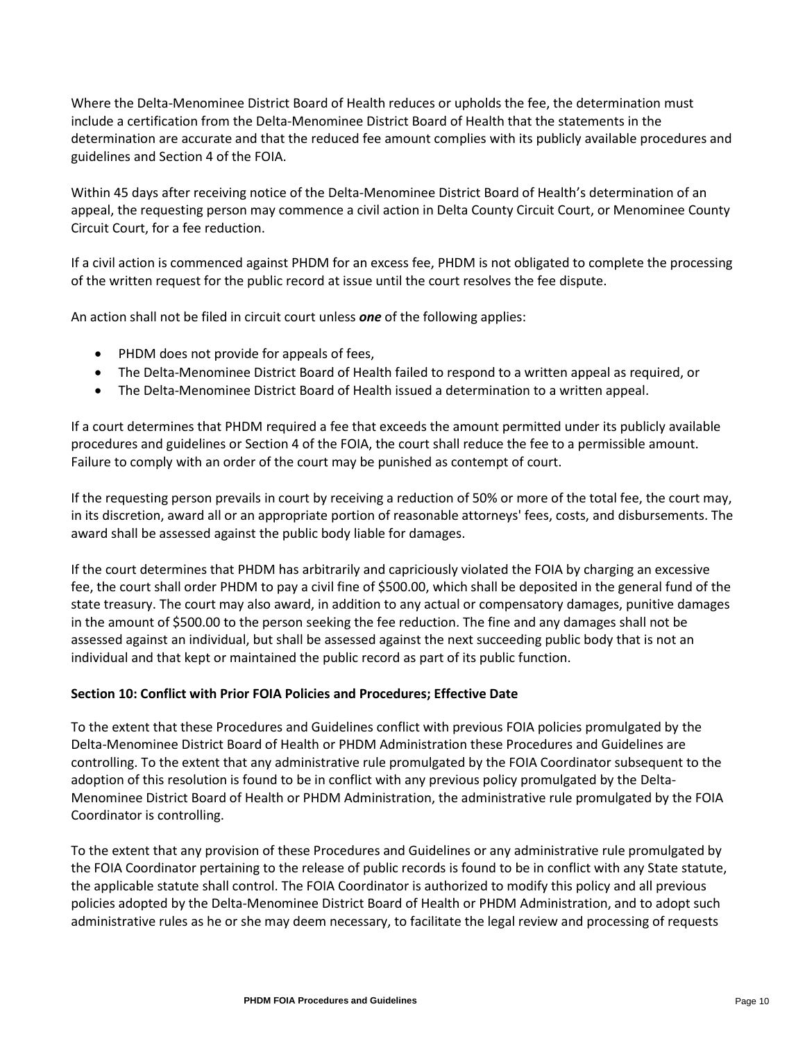Where the Delta-Menominee District Board of Health reduces or upholds the fee, the determination must include a certification from the Delta-Menominee District Board of Health that the statements in the determination are accurate and that the reduced fee amount complies with its publicly available procedures and guidelines and Section 4 of the FOIA.

Within 45 days after receiving notice of the Delta-Menominee District Board of Health's determination of an appeal, the requesting person may commence a civil action in Delta County Circuit Court, or Menominee County Circuit Court, for a fee reduction.

If a civil action is commenced against PHDM for an excess fee, PHDM is not obligated to complete the processing of the written request for the public record at issue until the court resolves the fee dispute.

An action shall not be filed in circuit court unless *one* of the following applies:

- PHDM does not provide for appeals of fees,
- The Delta-Menominee District Board of Health failed to respond to a written appeal as required, or
- The Delta-Menominee District Board of Health issued a determination to a written appeal.

If a court determines that PHDM required a fee that exceeds the amount permitted under its publicly available procedures and guidelines or Section 4 of the FOIA, the court shall reduce the fee to a permissible amount. Failure to comply with an order of the court may be punished as contempt of court.

If the requesting person prevails in court by receiving a reduction of 50% or more of the total fee, the court may, in its discretion, award all or an appropriate portion of reasonable attorneys' fees, costs, and disbursements. The award shall be assessed against the public body liable for damages.

If the court determines that PHDM has arbitrarily and capriciously violated the FOIA by charging an excessive fee, the court shall order PHDM to pay a civil fine of \$500.00, which shall be deposited in the general fund of the state treasury. The court may also award, in addition to any actual or compensatory damages, punitive damages in the amount of \$500.00 to the person seeking the fee reduction. The fine and any damages shall not be assessed against an individual, but shall be assessed against the next succeeding public body that is not an individual and that kept or maintained the public record as part of its public function.

## **Section 10: Conflict with Prior FOIA Policies and Procedures; Effective Date**

To the extent that these Procedures and Guidelines conflict with previous FOIA policies promulgated by the Delta-Menominee District Board of Health or PHDM Administration these Procedures and Guidelines are controlling. To the extent that any administrative rule promulgated by the FOIA Coordinator subsequent to the adoption of this resolution is found to be in conflict with any previous policy promulgated by the Delta-Menominee District Board of Health or PHDM Administration, the administrative rule promulgated by the FOIA Coordinator is controlling.

To the extent that any provision of these Procedures and Guidelines or any administrative rule promulgated by the FOIA Coordinator pertaining to the release of public records is found to be in conflict with any State statute, the applicable statute shall control. The FOIA Coordinator is authorized to modify this policy and all previous policies adopted by the Delta-Menominee District Board of Health or PHDM Administration, and to adopt such administrative rules as he or she may deem necessary, to facilitate the legal review and processing of requests